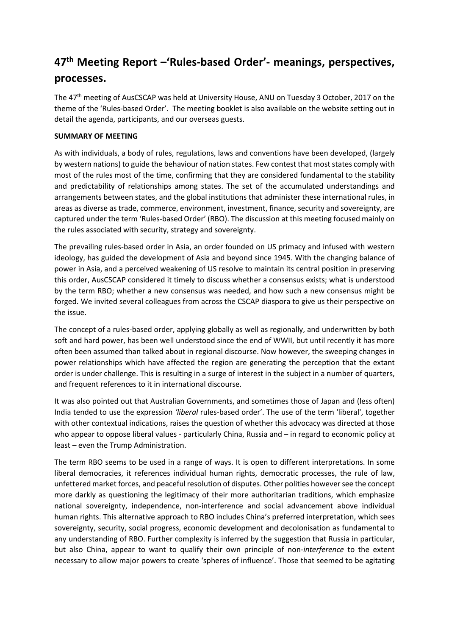## **47th Meeting Report –'Rules-based Order'- meanings, perspectives, processes.**

The 47th meeting of AusCSCAP was held at University House, ANU on Tuesday 3 October, 2017 on the theme of the 'Rules-based Order'. The meeting booklet is also available on the website setting out in detail the agenda, participants, and our overseas guests.

## **SUMMARY OF MEETING**

As with individuals, a body of rules, regulations, laws and conventions have been developed, (largely by western nations) to guide the behaviour of nation states. Few contest that most states comply with most of the rules most of the time, confirming that they are considered fundamental to the stability and predictability of relationships among states. The set of the accumulated understandings and arrangements between states, and the global institutions that administer these international rules, in areas as diverse as trade, commerce, environment, investment, finance, security and sovereignty, are captured under the term 'Rules-based Order' (RBO). The discussion at this meeting focused mainly on the rules associated with security, strategy and sovereignty.

The prevailing rules-based order in Asia, an order founded on US primacy and infused with western ideology, has guided the development of Asia and beyond since 1945. With the changing balance of power in Asia, and a perceived weakening of US resolve to maintain its central position in preserving this order, AusCSCAP considered it timely to discuss whether a consensus exists; what is understood by the term RBO; whether a new consensus was needed, and how such a new consensus might be forged. We invited several colleagues from across the CSCAP diaspora to give us their perspective on the issue.

The concept of a rules-based order, applying globally as well as regionally, and underwritten by both soft and hard power, has been well understood since the end of WWII, but until recently it has more often been assumed than talked about in regional discourse. Now however, the sweeping changes in power relationships which have affected the region are generating the perception that the extant order is under challenge. This is resulting in a surge of interest in the subject in a number of quarters, and frequent references to it in international discourse.

It was also pointed out that Australian Governments, and sometimes those of Japan and (less often) India tended to use the expression *'liberal* rules-based order'. The use of the term 'liberal', together with other contextual indications, raises the question of whether this advocacy was directed at those who appear to oppose liberal values - particularly China, Russia and – in regard to economic policy at least – even the Trump Administration.

The term RBO seems to be used in a range of ways. It is open to different interpretations. In some liberal democracies, it references individual human rights, democratic processes, the rule of law, unfettered market forces, and peaceful resolution of disputes. Other polities howeversee the concept more darkly as questioning the legitimacy of their more authoritarian traditions, which emphasize national sovereignty, independence, non-interference and social advancement above individual human rights. This alternative approach to RBO includes China's preferred interpretation, which sees sovereignty, security, social progress, economic development and decolonisation as fundamental to any understanding of RBO. Further complexity is inferred by the suggestion that Russia in particular, but also China, appear to want to qualify their own principle of non-*interference* to the extent necessary to allow major powers to create 'spheres of influence'. Those that seemed to be agitating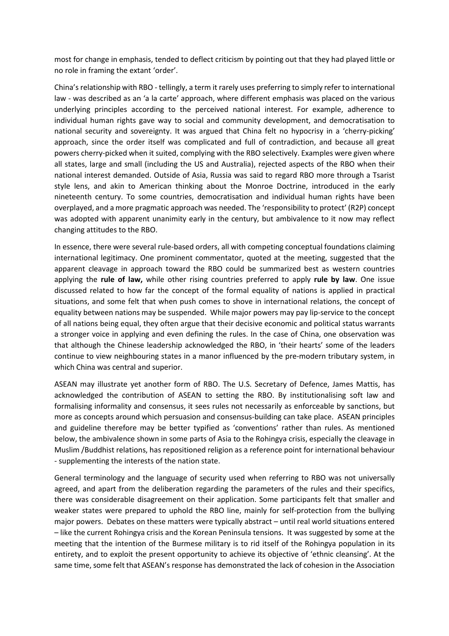most for change in emphasis, tended to deflect criticism by pointing out that they had played little or no role in framing the extant 'order'.

China's relationship with RBO - tellingly, a term it rarely uses preferring to simply refer to international law - was described as an 'a la carte' approach, where different emphasis was placed on the various underlying principles according to the perceived national interest. For example, adherence to individual human rights gave way to social and community development, and democratisation to national security and sovereignty. It was argued that China felt no hypocrisy in a 'cherry-picking' approach, since the order itself was complicated and full of contradiction, and because all great powers cherry-picked when it suited, complying with the RBO selectively. Examples were given where all states, large and small (including the US and Australia), rejected aspects of the RBO when their national interest demanded. Outside of Asia, Russia was said to regard RBO more through a Tsarist style lens, and akin to American thinking about the Monroe Doctrine, introduced in the early nineteenth century. To some countries, democratisation and individual human rights have been overplayed, and a more pragmatic approach was needed. The 'responsibility to protect' (R2P) concept was adopted with apparent unanimity early in the century, but ambivalence to it now may reflect changing attitudes to the RBO.

In essence, there were several rule-based orders, all with competing conceptual foundations claiming international legitimacy. One prominent commentator, quoted at the meeting, suggested that the apparent cleavage in approach toward the RBO could be summarized best as western countries applying the **rule of law,** while other rising countries preferred to apply **rule by law**. One issue discussed related to how far the concept of the formal equality of nations is applied in practical situations, and some felt that when push comes to shove in international relations, the concept of equality between nations may be suspended. While major powers may pay lip-service to the concept of all nations being equal, they often argue that their decisive economic and political status warrants a stronger voice in applying and even defining the rules. In the case of China, one observation was that although the Chinese leadership acknowledged the RBO, in 'their hearts' some of the leaders continue to view neighbouring states in a manor influenced by the pre-modern tributary system, in which China was central and superior.

ASEAN may illustrate yet another form of RBO. The U.S. Secretary of Defence, James Mattis, has acknowledged the contribution of ASEAN to setting the RBO. By institutionalising soft law and formalising informality and consensus, it sees rules not necessarily as enforceable by sanctions, but more as concepts around which persuasion and consensus-building can take place. ASEAN principles and guideline therefore may be better typified as 'conventions' rather than rules. As mentioned below, the ambivalence shown in some parts of Asia to the Rohingya crisis, especially the cleavage in Muslim /Buddhist relations, has repositioned religion as a reference point for international behaviour - supplementing the interests of the nation state.

General terminology and the language of security used when referring to RBO was not universally agreed, and apart from the deliberation regarding the parameters of the rules and their specifics, there was considerable disagreement on their application. Some participants felt that smaller and weaker states were prepared to uphold the RBO line, mainly for self-protection from the bullying major powers. Debates on these matters were typically abstract – until real world situations entered – like the current Rohingya crisis and the Korean Peninsula tensions. It was suggested by some at the meeting that the intention of the Burmese military is to rid itself of the Rohingya population in its entirety, and to exploit the present opportunity to achieve its objective of 'ethnic cleansing'. At the same time, some felt that ASEAN's response has demonstrated the lack of cohesion in the Association